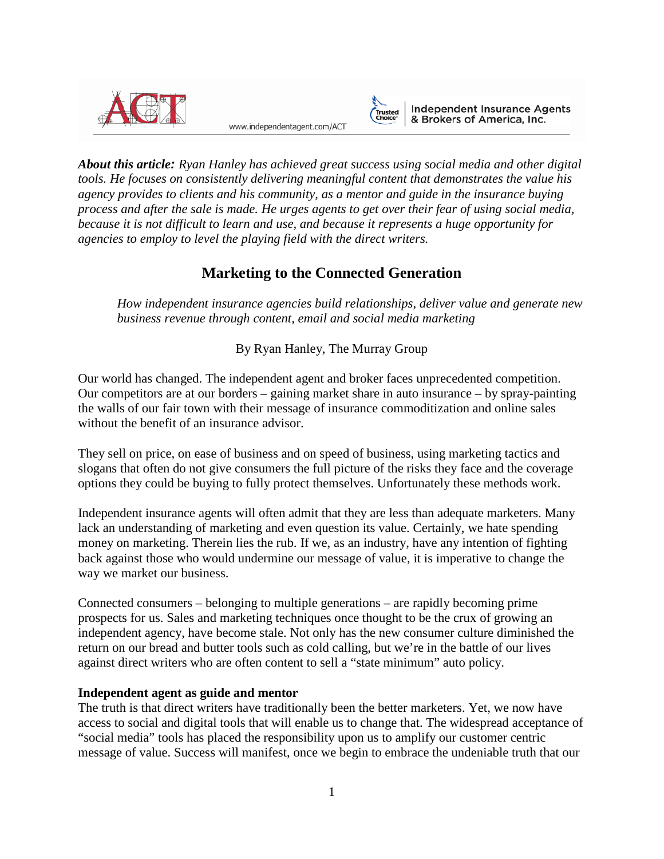

www.independentagent.com/ACT



Independent Insurance Agents<br>& Brokers of America, Inc.

*About this article: Ryan Hanley has achieved great success using social media and other digital tools. He focuses on consistently delivering meaningful content that demonstrates the value his agency provides to clients and his community, as a mentor and guide in the insurance buying process and after the sale is made. He urges agents to get over their fear of using social media, because it is not difficult to learn and use, and because it represents a huge opportunity for agencies to employ to level the playing field with the direct writers.*

# **Marketing to the Connected Generation**

*How independent insurance agencies build relationships, deliver value and generate new business revenue through content, email and social media marketing*

By Ryan Hanley, The Murray Group

Our world has changed. The independent agent and broker faces unprecedented competition. Our competitors are at our borders – gaining market share in auto insurance – by spray-painting the walls of our fair town with their message of insurance commoditization and online sales without the benefit of an insurance advisor.

They sell on price, on ease of business and on speed of business, using marketing tactics and slogans that often do not give consumers the full picture of the risks they face and the coverage options they could be buying to fully protect themselves. Unfortunately these methods work.

Independent insurance agents will often admit that they are less than adequate marketers. Many lack an understanding of marketing and even question its value. Certainly, we hate spending money on marketing. Therein lies the rub. If we, as an industry, have any intention of fighting back against those who would undermine our message of value, it is imperative to change the way we market our business.

Connected consumers – belonging to multiple generations – are rapidly becoming prime prospects for us. Sales and marketing techniques once thought to be the crux of growing an independent agency, have become stale. Not only has the new consumer culture diminished the return on our bread and butter tools such as cold calling, but we're in the battle of our lives against direct writers who are often content to sell a "state minimum" auto policy.

# **Independent agent as guide and mentor**

The truth is that direct writers have traditionally been the better marketers. Yet, we now have access to social and digital tools that will enable us to change that. The widespread acceptance of "social media" tools has placed the responsibility upon us to amplify our customer centric message of value. Success will manifest, once we begin to embrace the undeniable truth that our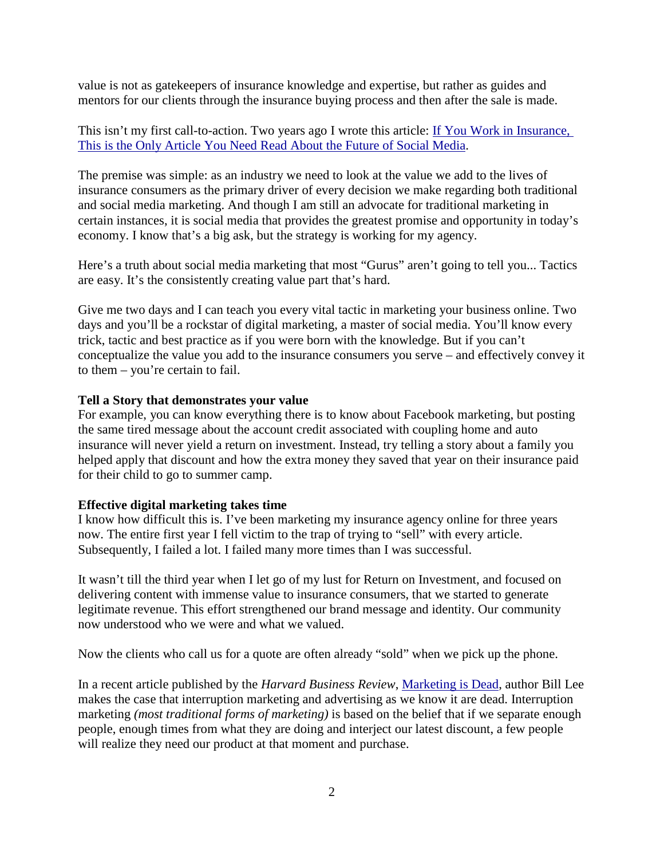value is not as gatekeepers of insurance knowledge and expertise, but rather as guides and mentors for our clients through the insurance buying process and then after the sale is made.

This isn't my first call-to-action. Two years ago I wrote this article: If You Work in Insurance, [This is the Only Article You Need Read About the Future of Social Media.](http://www.ryanhanley.com/2011/11/15/if-you-work-in-insurance-this-should-be-the-only-article-you-read-on-the-future-of-social-media/)

The premise was simple: as an industry we need to look at the value we add to the lives of insurance consumers as the primary driver of every decision we make regarding both traditional and social media marketing. And though I am still an advocate for traditional marketing in certain instances, it is social media that provides the greatest promise and opportunity in today's economy. I know that's a big ask, but the strategy is working for my agency.

Here's a truth about social media marketing that most "Gurus" aren't going to tell you... Tactics are easy. It's the consistently creating value part that's hard.

Give me two days and I can teach you every vital tactic in marketing your business online. Two days and you'll be a rockstar of digital marketing, a master of social media. You'll know every trick, tactic and best practice as if you were born with the knowledge. But if you can't conceptualize the value you add to the insurance consumers you serve – and effectively convey it to them – you're certain to fail.

# **Tell a Story that demonstrates your value**

For example, you can know everything there is to know about Facebook marketing, but posting the same tired message about the account credit associated with coupling home and auto insurance will never yield a return on investment. Instead, try telling a story about a family you helped apply that discount and how the extra money they saved that year on their insurance paid for their child to go to summer camp.

## **Effective digital marketing takes time**

I know how difficult this is. I've been marketing my insurance agency online for three years now. The entire first year I fell victim to the trap of trying to "sell" with every article. Subsequently, I failed a lot. I failed many more times than I was successful.

It wasn't till the third year when I let go of my lust for Return on Investment, and focused on delivering content with immense value to insurance consumers, that we started to generate legitimate revenue. This effort strengthened our brand message and identity. Our community now understood who we were and what we valued.

Now the clients who call us for a quote are often already "sold" when we pick up the phone.

In a recent article published by the *Harvard Business Review*, [Marketing is Dead,](http://blogs.hbr.org/cs/2012/08/marketing_is_dead.html) author Bill Lee makes the case that interruption marketing and advertising as we know it are dead. Interruption marketing *(most traditional forms of marketing)* is based on the belief that if we separate enough people, enough times from what they are doing and interject our latest discount, a few people will realize they need our product at that moment and purchase.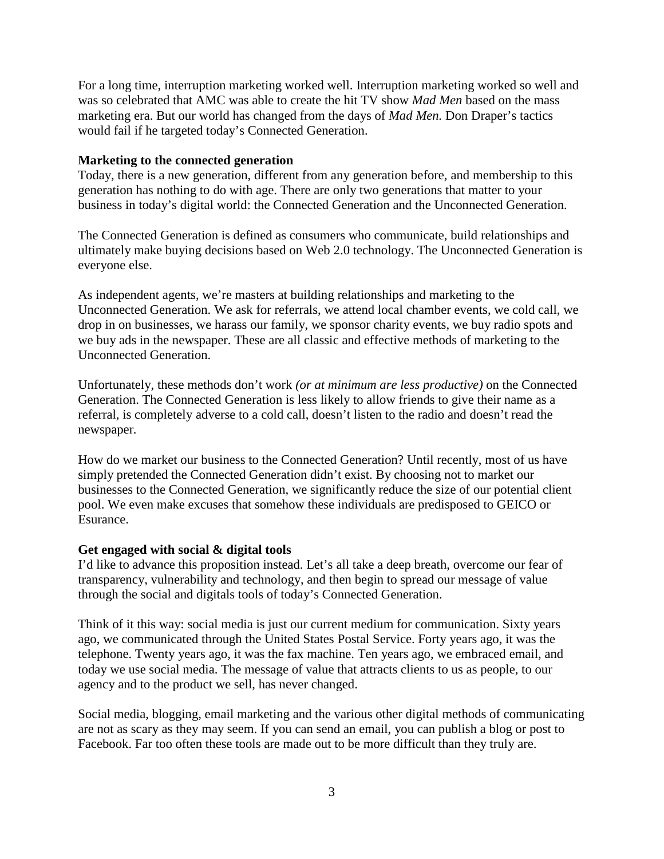For a long time, interruption marketing worked well. Interruption marketing worked so well and was so celebrated that AMC was able to create the hit TV show *Mad Men* based on the mass marketing era. But our world has changed from the days of *Mad Men.* Don Draper's tactics would fail if he targeted today's Connected Generation.

#### **Marketing to the connected generation**

Today, there is a new generation, different from any generation before, and membership to this generation has nothing to do with age. There are only two generations that matter to your business in today's digital world: the Connected Generation and the Unconnected Generation.

The Connected Generation is defined as consumers who communicate, build relationships and ultimately make buying decisions based on Web 2.0 technology. The Unconnected Generation is everyone else.

As independent agents, we're masters at building relationships and marketing to the Unconnected Generation. We ask for referrals, we attend local chamber events, we cold call, we drop in on businesses, we harass our family, we sponsor charity events, we buy radio spots and we buy ads in the newspaper. These are all classic and effective methods of marketing to the Unconnected Generation.

Unfortunately, these methods don't work *(or at minimum are less productive)* on the Connected Generation. The Connected Generation is less likely to allow friends to give their name as a referral, is completely adverse to a cold call, doesn't listen to the radio and doesn't read the newspaper*.* 

How do we market our business to the Connected Generation? Until recently, most of us have simply pretended the Connected Generation didn't exist. By choosing not to market our businesses to the Connected Generation, we significantly reduce the size of our potential client pool. We even make excuses that somehow these individuals are predisposed to GEICO or Esurance.

#### **Get engaged with social & digital tools**

I'd like to advance this proposition instead. Let's all take a deep breath, overcome our fear of transparency, vulnerability and technology, and then begin to spread our message of value through the social and digitals tools of today's Connected Generation.

Think of it this way: social media is just our current medium for communication. Sixty years ago, we communicated through the United States Postal Service. Forty years ago, it was the telephone. Twenty years ago, it was the fax machine. Ten years ago, we embraced email, and today we use social media. The message of value that attracts clients to us as people, to our agency and to the product we sell, has never changed.

Social media, blogging, email marketing and the various other digital methods of communicating are not as scary as they may seem. If you can send an email, you can publish a blog or post to Facebook. Far too often these tools are made out to be more difficult than they truly are.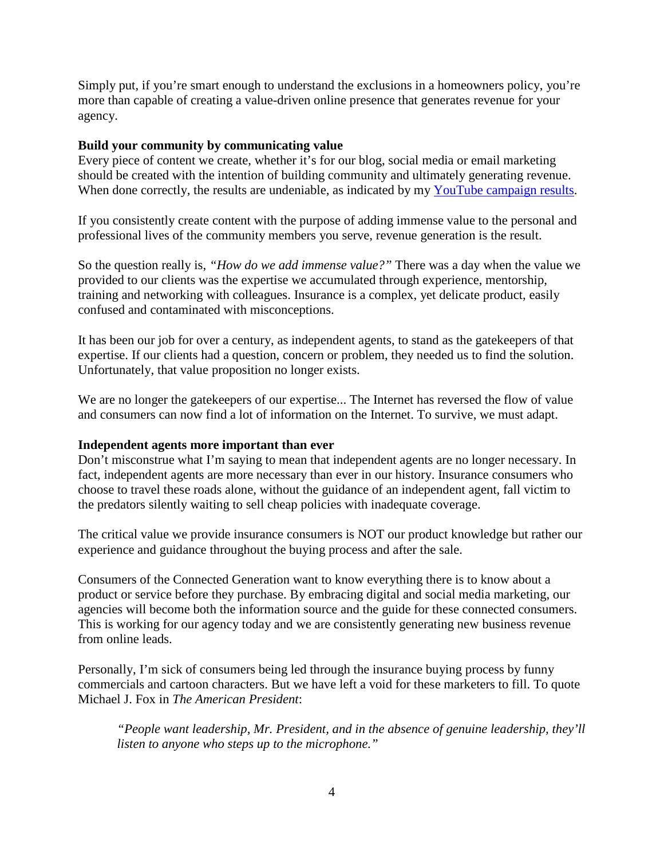Simply put, if you're smart enough to understand the exclusions in a homeowners policy, you're more than capable of creating a value-driven online presence that generates revenue for your agency.

#### **Build your community by communicating value**

Every piece of content we create, whether it's for our blog, social media or email marketing should be created with the intention of building community and ultimately generating revenue. When done correctly, the results are undeniable, as indicated by my [YouTube campaign results.](http://www.ryanhanley.com/seo-experiment/)

If you consistently create content with the purpose of adding immense value to the personal and professional lives of the community members you serve, revenue generation is the result.

So the question really is, *"How do we add immense value?"* There was a day when the value we provided to our clients was the expertise we accumulated through experience, mentorship, training and networking with colleagues. Insurance is a complex, yet delicate product, easily confused and contaminated with misconceptions.

It has been our job for over a century, as independent agents, to stand as the gatekeepers of that expertise. If our clients had a question, concern or problem, they needed us to find the solution. Unfortunately, that value proposition no longer exists.

We are no longer the gatekeepers of our expertise... The Internet has reversed the flow of value and consumers can now find a lot of information on the Internet. To survive, we must adapt.

## **Independent agents more important than ever**

Don't misconstrue what I'm saying to mean that independent agents are no longer necessary. In fact, independent agents are more necessary than ever in our history. Insurance consumers who choose to travel these roads alone, without the guidance of an independent agent, fall victim to the predators silently waiting to sell cheap policies with inadequate coverage.

The critical value we provide insurance consumers is NOT our product knowledge but rather our experience and guidance throughout the buying process and after the sale.

Consumers of the Connected Generation want to know everything there is to know about a product or service before they purchase. By embracing digital and social media marketing, our agencies will become both the information source and the guide for these connected consumers. This is working for our agency today and we are consistently generating new business revenue from online leads.

Personally, I'm sick of consumers being led through the insurance buying process by funny commercials and cartoon characters. But we have left a void for these marketers to fill. To quote Michael J. Fox in *The American President*:

*"People want leadership, Mr. President, and in the absence of genuine leadership, they'll listen to anyone who steps up to the microphone."*